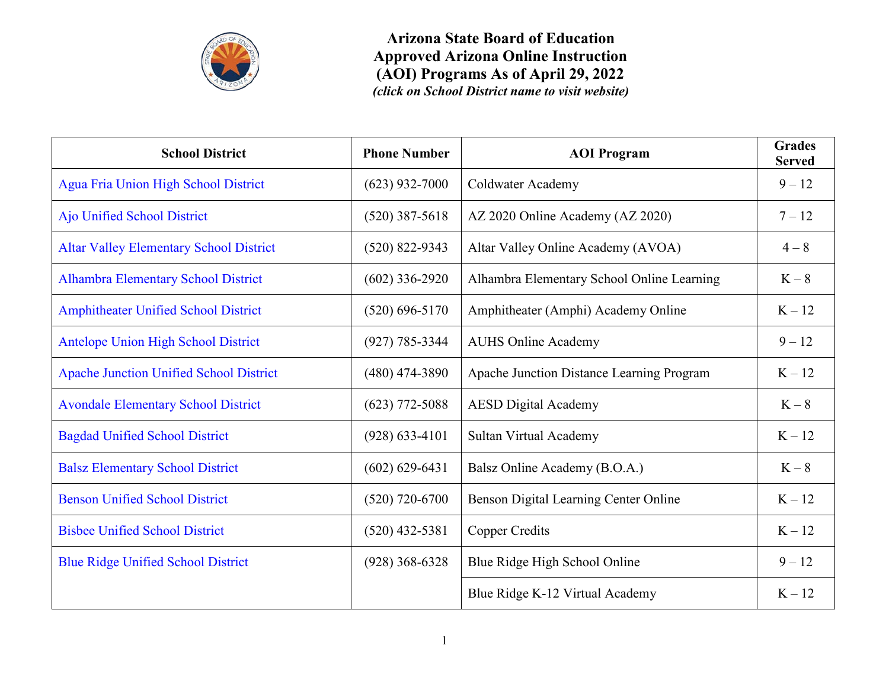

| <b>School District</b>                         | <b>Phone Number</b> | <b>AOI</b> Program                         | <b>Grades</b><br><b>Served</b> |
|------------------------------------------------|---------------------|--------------------------------------------|--------------------------------|
| Agua Fria Union High School District           | $(623)$ 932-7000    | Coldwater Academy                          | $9 - 12$                       |
| Ajo Unified School District                    | $(520)$ 387-5618    | AZ 2020 Online Academy (AZ 2020)           | $7 - 12$                       |
| <b>Altar Valley Elementary School District</b> | $(520)$ 822-9343    | Altar Valley Online Academy (AVOA)         | $4 - 8$                        |
| <b>Alhambra Elementary School District</b>     | $(602)$ 336-2920    | Alhambra Elementary School Online Learning | $K-8$                          |
| <b>Amphitheater Unified School District</b>    | $(520)$ 696-5170    | Amphitheater (Amphi) Academy Online        | $K - 12$                       |
| <b>Antelope Union High School District</b>     | $(927) 785 - 3344$  | <b>AUHS Online Academy</b>                 | $9 - 12$                       |
| <b>Apache Junction Unified School District</b> | $(480)$ 474-3890    | Apache Junction Distance Learning Program  | $K - 12$                       |
| <b>Avondale Elementary School District</b>     | $(623)$ 772-5088    | <b>AESD Digital Academy</b>                | $K-8$                          |
| <b>Bagdad Unified School District</b>          | $(928) 633 - 4101$  | Sultan Virtual Academy                     | $K - 12$                       |
| <b>Balsz Elementary School District</b>        | $(602) 629 - 6431$  | Balsz Online Academy (B.O.A.)              | $K-8$                          |
| <b>Benson Unified School District</b>          | $(520)$ 720-6700    | Benson Digital Learning Center Online      | $K - 12$                       |
| <b>Bisbee Unified School District</b>          | $(520)$ 432-5381    | <b>Copper Credits</b>                      | $K - 12$                       |
| <b>Blue Ridge Unified School District</b>      | $(928)$ 368-6328    | Blue Ridge High School Online              | $9 - 12$                       |
|                                                |                     | Blue Ridge K-12 Virtual Academy            | $K-12$                         |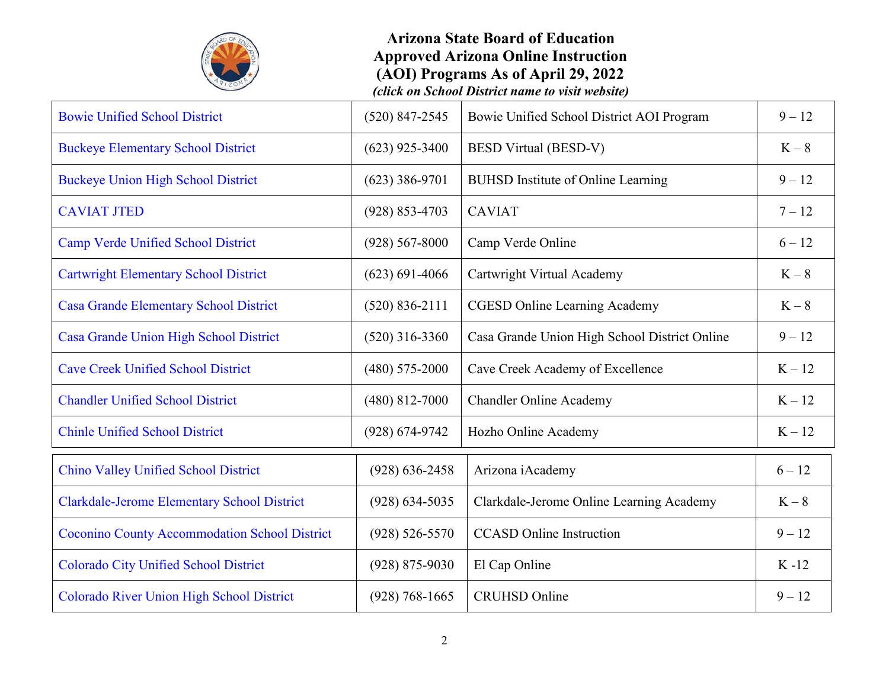

| $(520)$ 847-2545   | Bowie Unified School District AOI Program     | $9 - 12$ |
|--------------------|-----------------------------------------------|----------|
| $(623)$ 925-3400   | <b>BESD Virtual (BESD-V)</b>                  | $K-8$    |
| $(623)$ 386-9701   | <b>BUHSD</b> Institute of Online Learning     | $9 - 12$ |
| $(928) 853 - 4703$ | <b>CAVIAT</b>                                 | $7 - 12$ |
| $(928) 567 - 8000$ | Camp Verde Online                             | $6 - 12$ |
| $(623) 691 - 4066$ | Cartwright Virtual Academy                    | $K-8$    |
| $(520) 836 - 2111$ | <b>CGESD Online Learning Academy</b>          | $K-8$    |
| $(520)$ 316-3360   | Casa Grande Union High School District Online | $9 - 12$ |
| $(480)$ 575-2000   | Cave Creek Academy of Excellence              | $K - 12$ |
| $(480)$ 812-7000   | <b>Chandler Online Academy</b>                | $K - 12$ |
| $(928) 674 - 9742$ | Hozho Online Academy                          | $K-12$   |
| $(928) 636 - 2458$ | Arizona iAcademy                              | $6 - 12$ |
| $(928) 634 - 5035$ | Clarkdale-Jerome Online Learning Academy      | $K-8$    |
| $(928) 526 - 5570$ | <b>CCASD</b> Online Instruction               | $9 - 12$ |
| $(928) 875 - 9030$ | El Cap Online                                 | $K-12$   |
| $(928) 768 - 1665$ | <b>CRUHSD</b> Online                          | $9 - 12$ |
|                    |                                               |          |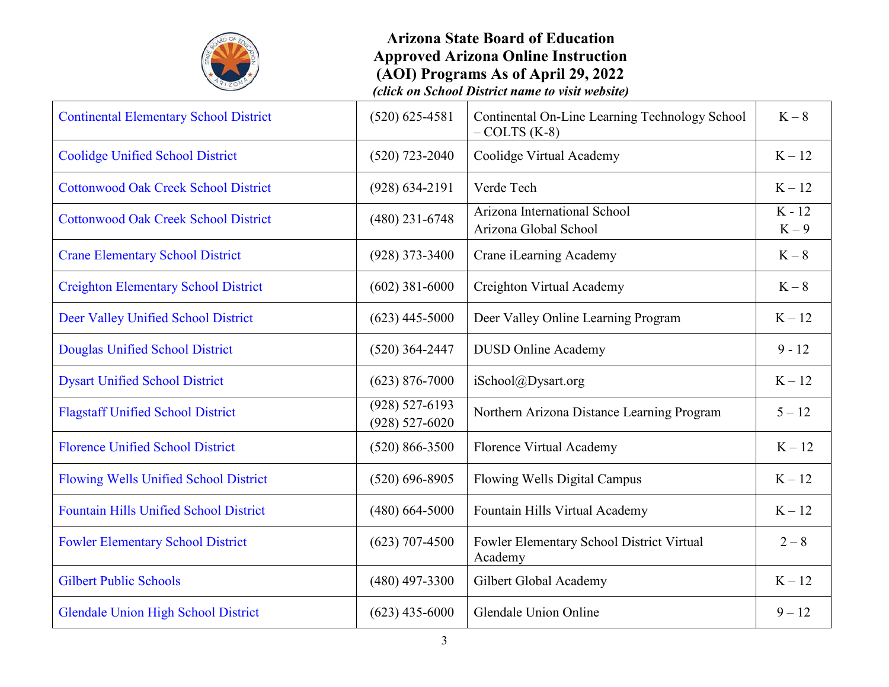

| <b>Continental Elementary School District</b> | $(520) 625 - 4581$                       | Continental On-Line Learning Technology School<br>$-COLTS$ (K-8) | $K-8$             |
|-----------------------------------------------|------------------------------------------|------------------------------------------------------------------|-------------------|
| <b>Coolidge Unified School District</b>       | $(520)$ 723-2040                         | Coolidge Virtual Academy                                         | $K - 12$          |
| <b>Cottonwood Oak Creek School District</b>   | $(928) 634 - 2191$                       | Verde Tech                                                       | $K - 12$          |
| <b>Cottonwood Oak Creek School District</b>   | $(480)$ 231-6748                         | Arizona International School<br>Arizona Global School            | $K - 12$<br>$K-9$ |
| <b>Crane Elementary School District</b>       | $(928)$ 373-3400                         | Crane iLearning Academy                                          | $K-8$             |
| <b>Creighton Elementary School District</b>   | $(602)$ 381-6000                         | Creighton Virtual Academy                                        | $K-8$             |
| Deer Valley Unified School District           | $(623)$ 445-5000                         | Deer Valley Online Learning Program                              | $K - 12$          |
| Douglas Unified School District               | $(520)$ 364-2447                         | <b>DUSD Online Academy</b>                                       | $9 - 12$          |
| <b>Dysart Unified School District</b>         | $(623)$ 876-7000                         | iSchool@Dysart.org                                               | $K - 12$          |
| <b>Flagstaff Unified School District</b>      | $(928) 527 - 6193$<br>$(928) 527 - 6020$ | Northern Arizona Distance Learning Program                       | $5 - 12$          |
| <b>Florence Unified School District</b>       | $(520) 866 - 3500$                       | Florence Virtual Academy                                         | $K - 12$          |
| Flowing Wells Unified School District         | $(520) 696 - 8905$                       | Flowing Wells Digital Campus                                     | $K - 12$          |
| <b>Fountain Hills Unified School District</b> | $(480)$ 664-5000                         | Fountain Hills Virtual Academy                                   | $K - 12$          |
| <b>Fowler Elementary School District</b>      | $(623)$ 707-4500                         | Fowler Elementary School District Virtual<br>Academy             | $2 - 8$           |
| <b>Gilbert Public Schools</b>                 | $(480)$ 497-3300                         | Gilbert Global Academy                                           | $K - 12$          |
| <b>Glendale Union High School District</b>    | $(623)$ 435-6000                         | Glendale Union Online                                            | $9 - 12$          |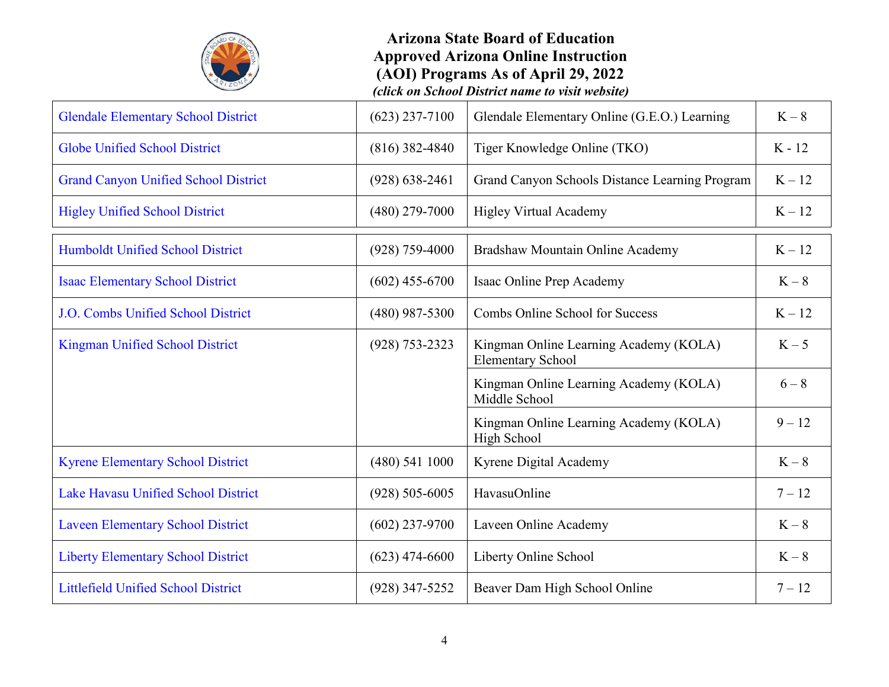

| <b>Glendale Elementary School District</b>  | $(623)$ 237-7100   | Glendale Elementary Online (G.E.O.) Learning                       | $K-8$    |
|---------------------------------------------|--------------------|--------------------------------------------------------------------|----------|
| <b>Globe Unified School District</b>        | $(816)$ 382-4840   | Tiger Knowledge Online (TKO)                                       | $K - 12$ |
| <b>Grand Canyon Unified School District</b> | $(928) 638 - 2461$ | Grand Canyon Schools Distance Learning Program                     | $K-12$   |
| <b>Higley Unified School District</b>       | $(480)$ 279-7000   | <b>Higley Virtual Academy</b>                                      | $K-12$   |
| Humboldt Unified School District            | $(928)$ 759-4000   | Bradshaw Mountain Online Academy                                   | $K - 12$ |
| <b>Isaac Elementary School District</b>     | $(602)$ 455-6700   | Isaac Online Prep Academy                                          | $K-8$    |
| J.O. Combs Unified School District          | (480) 987-5300     | Combs Online School for Success                                    | $K - 12$ |
| <b>Kingman Unified School District</b>      | $(928) 753 - 2323$ | Kingman Online Learning Academy (KOLA)<br><b>Elementary School</b> | $K-5$    |
|                                             |                    | Kingman Online Learning Academy (KOLA)<br>Middle School            | $6 - 8$  |
|                                             |                    | Kingman Online Learning Academy (KOLA)<br>High School              | $9 - 12$ |
| <b>Kyrene Elementary School District</b>    | (480) 541 1000     | Kyrene Digital Academy                                             | $K-8$    |
| <b>Lake Havasu Unified School District</b>  | $(928) 505 - 6005$ | HavasuOnline                                                       | $7 - 12$ |
| <b>Laveen Elementary School District</b>    | $(602)$ 237-9700   | Laveen Online Academy                                              | $K-8$    |
| <b>Liberty Elementary School District</b>   | $(623)$ 474-6600   | Liberty Online School                                              | $K-8$    |
| <b>Littlefield Unified School District</b>  | $(928)$ 347-5252   | Beaver Dam High School Online                                      | $7 - 12$ |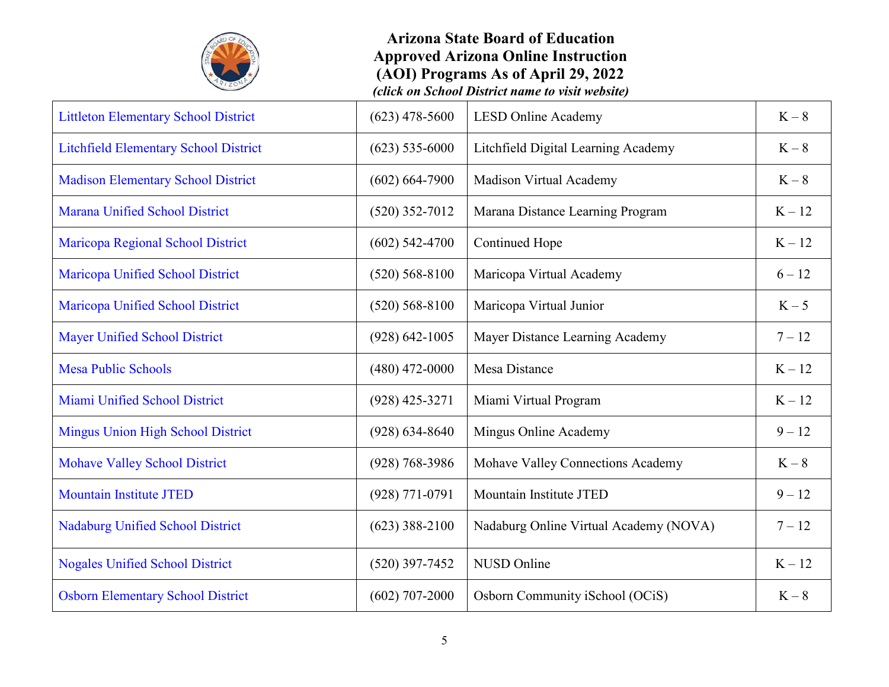

| <b>Littleton Elementary School District</b>  | $(623)$ 478-5600   | <b>LESD Online Academy</b>             | $K-8$    |
|----------------------------------------------|--------------------|----------------------------------------|----------|
| <b>Litchfield Elementary School District</b> | $(623)$ 535-6000   | Litchfield Digital Learning Academy    | $K-8$    |
| <b>Madison Elementary School District</b>    | $(602) 664 - 7900$ | Madison Virtual Academy                | $K-8$    |
| <b>Marana Unified School District</b>        | $(520)$ 352-7012   | Marana Distance Learning Program       | $K - 12$ |
| Maricopa Regional School District            | $(602)$ 542-4700   | <b>Continued Hope</b>                  | $K - 12$ |
| Maricopa Unified School District             | $(520) 568 - 8100$ | Maricopa Virtual Academy               | $6 - 12$ |
| Maricopa Unified School District             | $(520) 568 - 8100$ | Maricopa Virtual Junior                | $K-5$    |
| <b>Mayer Unified School District</b>         | $(928) 642 - 1005$ | Mayer Distance Learning Academy        | $7 - 12$ |
| <b>Mesa Public Schools</b>                   | $(480)$ 472-0000   | Mesa Distance                          | $K - 12$ |
| Miami Unified School District                | $(928)$ 425-3271   | Miami Virtual Program                  | $K - 12$ |
| <b>Mingus Union High School District</b>     | $(928) 634 - 8640$ | Mingus Online Academy                  | $9 - 12$ |
| <b>Mohave Valley School District</b>         | $(928) 768 - 3986$ | Mohave Valley Connections Academy      | $K-8$    |
| <b>Mountain Institute JTED</b>               | $(928) 771 - 0791$ | Mountain Institute JTED                | $9 - 12$ |
| <b>Nadaburg Unified School District</b>      | $(623)$ 388-2100   | Nadaburg Online Virtual Academy (NOVA) | $7 - 12$ |
| <b>Nogales Unified School District</b>       | $(520)$ 397-7452   | NUSD Online                            | $K - 12$ |
| <b>Osborn Elementary School District</b>     | $(602)$ 707-2000   | Osborn Community iSchool (OCiS)        | $K-8$    |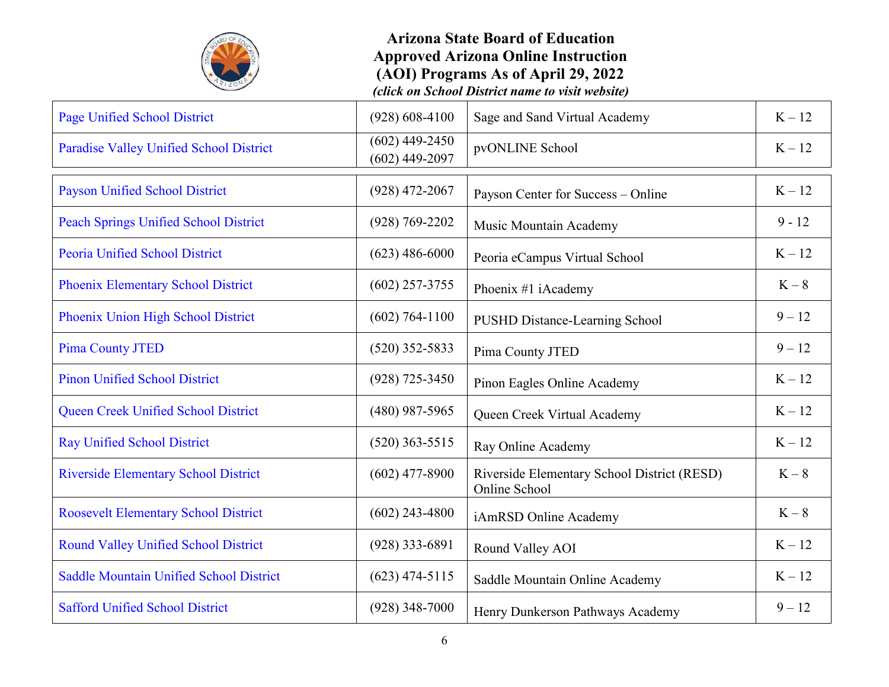

| Page Unified School District                   | $(928) 608 - 4100$                   | Sage and Sand Virtual Academy                                | $K-12$   |
|------------------------------------------------|--------------------------------------|--------------------------------------------------------------|----------|
| Paradise Valley Unified School District        | $(602)$ 449-2450<br>$(602)$ 449-2097 | pvONLINE School                                              | $K - 12$ |
| <b>Payson Unified School District</b>          | $(928)$ 472-2067                     | Payson Center for Success - Online                           | $K - 12$ |
| <b>Peach Springs Unified School District</b>   | $(928) 769 - 2202$                   | Music Mountain Academy                                       | $9 - 12$ |
| <b>Peoria Unified School District</b>          | $(623)$ 486-6000                     | Peoria eCampus Virtual School                                | $K - 12$ |
| Phoenix Elementary School District             | $(602)$ 257-3755                     | Phoenix #1 iAcademy                                          | $K-8$    |
| Phoenix Union High School District             | $(602)$ 764-1100                     | <b>PUSHD Distance-Learning School</b>                        | $9 - 12$ |
| <b>Pima County JTED</b>                        | $(520)$ 352-5833                     | Pima County JTED                                             | $9 - 12$ |
| <b>Pinon Unified School District</b>           | $(928)$ 725-3450                     | Pinon Eagles Online Academy                                  | $K - 12$ |
| Queen Creek Unified School District            | (480) 987-5965                       | Queen Creek Virtual Academy                                  | $K - 12$ |
| <b>Ray Unified School District</b>             | $(520)$ 363-5515                     | Ray Online Academy                                           | $K - 12$ |
| <b>Riverside Elementary School District</b>    | $(602)$ 477-8900                     | Riverside Elementary School District (RESD)<br>Online School | $K-8$    |
| <b>Roosevelt Elementary School District</b>    | $(602)$ 243-4800                     | iAmRSD Online Academy                                        | $K-8$    |
| <b>Round Valley Unified School District</b>    | $(928)$ 333-6891                     | Round Valley AOI                                             | $K - 12$ |
| <b>Saddle Mountain Unified School District</b> | $(623)$ 474-5115                     | Saddle Mountain Online Academy                               | $K-12$   |
| <b>Safford Unified School District</b>         | $(928)$ 348-7000                     | Henry Dunkerson Pathways Academy                             | $9 - 12$ |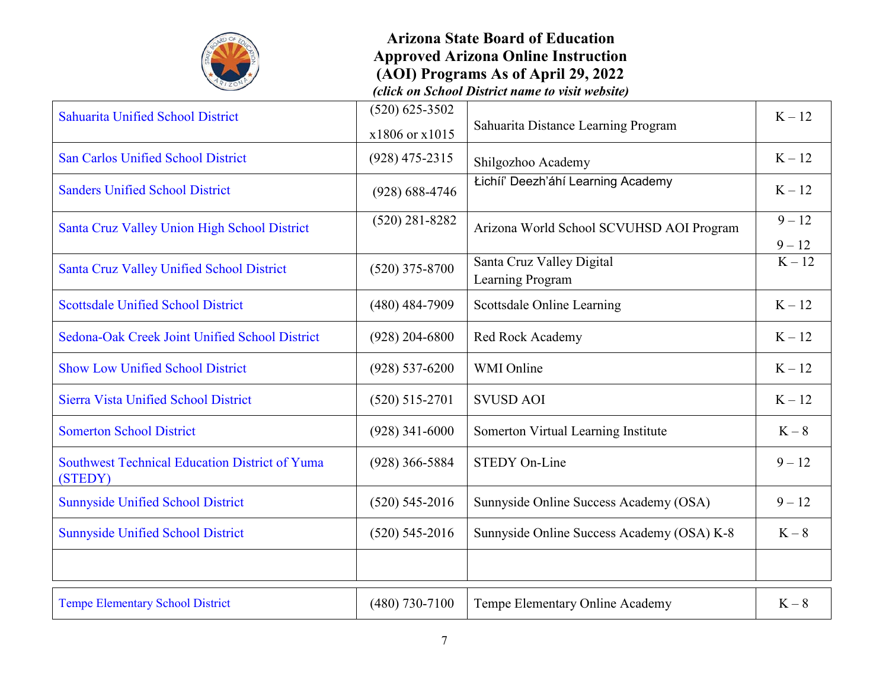

# **Arizona State Board of Education Approved Arizona Online Instruction (AOI) Programs As of April 29, 2022**

*(click on School District name to visit website)*

| Sahuarita Unified School District                                | $(520)$ 625-3502   |                                               | $K-12$               |
|------------------------------------------------------------------|--------------------|-----------------------------------------------|----------------------|
|                                                                  | x1806 or x1015     | Sahuarita Distance Learning Program           |                      |
| San Carlos Unified School District                               | $(928)$ 475-2315   | Shilgozhoo Academy                            | $K-12$               |
| <b>Sanders Unified School District</b>                           | $(928) 688 - 4746$ | Łichíi' Deezh'áhí Learning Academy            | $K - 12$             |
| Santa Cruz Valley Union High School District                     | $(520)$ 281-8282   | Arizona World School SCVUHSD AOI Program      | $9 - 12$<br>$9 - 12$ |
| Santa Cruz Valley Unified School District                        | $(520)$ 375-8700   | Santa Cruz Valley Digital<br>Learning Program | $\overline{K-12}$    |
| <b>Scottsdale Unified School District</b>                        | $(480)$ 484-7909   | Scottsdale Online Learning                    | $K - 12$             |
| Sedona-Oak Creek Joint Unified School District                   | $(928)$ 204-6800   | Red Rock Academy                              | $K - 12$             |
| <b>Show Low Unified School District</b>                          | $(928) 537 - 6200$ | WMI Online                                    | $K - 12$             |
| <b>Sierra Vista Unified School District</b>                      | $(520)$ 515-2701   | <b>SVUSD AOI</b>                              | $K - 12$             |
| <b>Somerton School District</b>                                  | $(928)$ 341-6000   | Somerton Virtual Learning Institute           | $K-8$                |
| <b>Southwest Technical Education District of Yuma</b><br>(STEDY) | $(928)$ 366-5884   | <b>STEDY On-Line</b>                          | $9 - 12$             |
| <b>Sunnyside Unified School District</b>                         | $(520)$ 545-2016   | Sunnyside Online Success Academy (OSA)        | $9 - 12$             |
| <b>Sunnyside Unified School District</b>                         | $(520)$ 545-2016   | Sunnyside Online Success Academy (OSA) K-8    | $K-8$                |
|                                                                  |                    |                                               |                      |
| <b>Tempe Elementary School District</b>                          | $(480)$ 730-7100   | Tempe Elementary Online Academy               | $K-8$                |